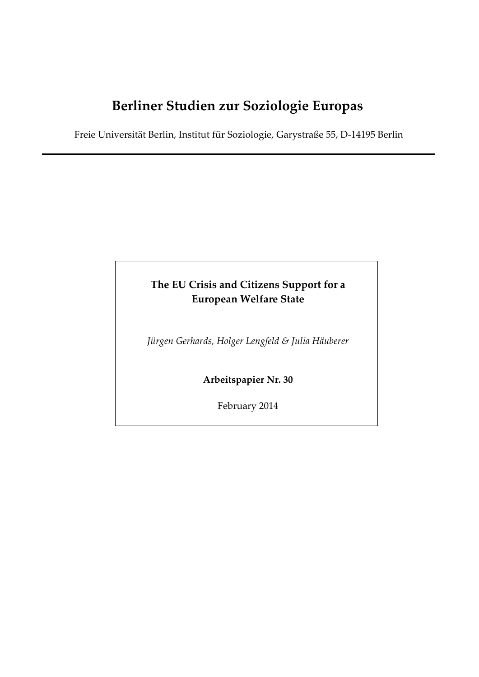# **Berliner Studien zur Soziologie Europas**

Freie Universität Berlin, Institut für Soziologie, Garystraße 55, D‐14195 Berlin

# **The EU Crisis and Citizens Support for a European Welfare State**

*Jürgen Gerhards, Holger Lengfeld & Julia Häuberer*

**Arbeitspapier Nr. 30**

February 2014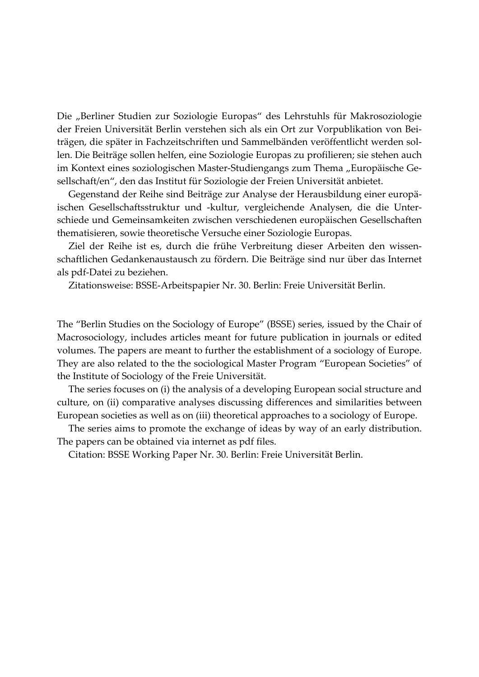Die "Berliner Studien zur Soziologie Europas" des Lehrstuhls für Makrosoziologie der Freien Universität Berlin verstehen sich als ein Ort zur Vorpublikation von Bei‐ trägen, die später in Fachzeitschriften und Sammelbänden veröffentlicht werden sol‐ len. Die Beiträge sollen helfen, eine Soziologie Europas zu profilieren; sie stehen auch im Kontext eines soziologischen Master-Studiengangs zum Thema "Europäische Gesellschaft/en", den das Institut für Soziologie der Freien Universität anbietet.

Gegenstand der Reihe sind Beiträge zur Analyse der Herausbildung einer europä‐ ischen Gesellschaftsstruktur und -kultur, vergleichende Analysen, die die Unterschiede und Gemeinsamkeiten zwischen verschiedenen europäischen Gesellschaften thematisieren, sowie theoretische Versuche einer Soziologie Europas.

Ziel der Reihe ist es, durch die frühe Verbreitung dieser Arbeiten den wissen‐ schaftlichen Gedankenaustausch zu fördern. Die Beiträge sind nur über das Internet als pdf‐Datei zu beziehen.

Zitationsweise: BSSE‐Arbeitspapier Nr. 30. Berlin: Freie Universität Berlin.

The "Berlin Studies on the Sociology of Europe" (BSSE) series, issued by the Chair of Macrosociology, includes articles meant for future publication in journals or edited volumes. The papers are meant to further the establishment of a sociology of Europe. They are also related to the the sociological Master Program "European Societies" of the Institute of Sociology of the Freie Universität.

The series focuses on (i) the analysis of a developing European social structure and culture, on (ii) comparative analyses discussing differences and similarities between European societies as well as on (iii) theoretical approaches to a sociology of Europe.

The series aims to promote the exchange of ideas by way of an early distribution. The papers can be obtained via internet as pdf files.

Citation: BSSE Working Paper Nr. 30. Berlin: Freie Universität Berlin.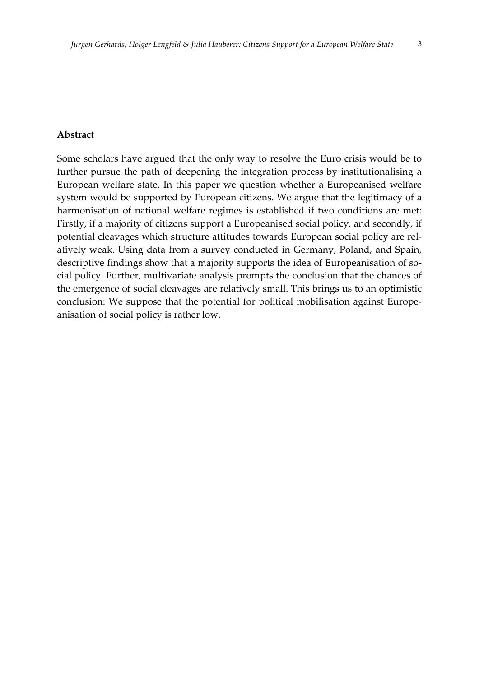## **Abstract**

Some scholars have argued that the only way to resolve the Euro crisis would be to further pursue the path of deepening the integration process by institutionalising a European welfare state. In this paper we question whether a Europeanised welfare system would be supported by European citizens. We argue that the legitimacy of a harmonisation of national welfare regimes is established if two conditions are met: Firstly, if a majority of citizens support a Europeanised social policy, and secondly, if potential cleavages which structure attitudes towards European social policy are rel‐ atively weak. Using data from a survey conducted in Germany, Poland, and Spain, descriptive findings show that a majority supports the idea of Europeanisation of social policy. Further, multivariate analysis prompts the conclusion that the chances of the emergence of social cleavages are relatively small. This brings us to an optimistic conclusion: We suppose that the potential for political mobilisation against Europeanisation of social policy is rather low.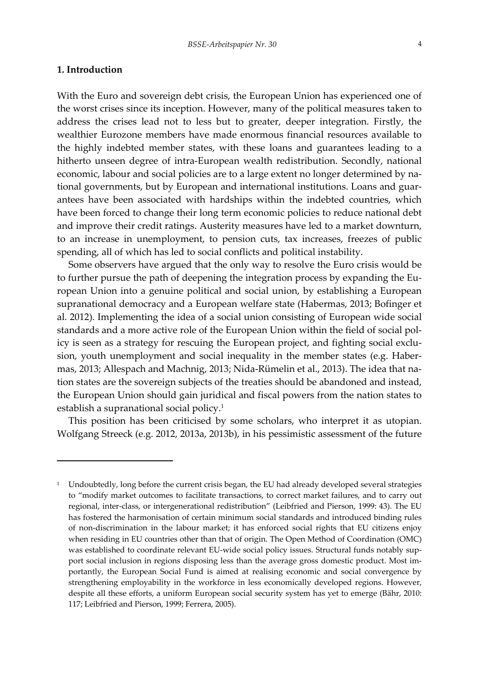## **1. Introduction**

With the Euro and sovereign debt crisis, the European Union has experienced one of the worst crises since its inception. However, many of the political measures taken to address the crises lead not to less but to greater, deeper integration. Firstly, the wealthier Eurozone members have made enormous financial resources available to the highly indebted member states, with these loans and guarantees leading to a hitherto unseen degree of intra-European wealth redistribution. Secondly, national economic, labour and social policies are to a large extent no longer determined by national governments, but by European and international institutions. Loans and guarantees have been associated with hardships within the indebted countries, which have been forced to change their long term economic policies to reduce national debt and improve their credit ratings. Austerity measures have led to a market downturn, to an increase in unemployment, to pension cuts, tax increases, freezes of public spending, all of which has led to social conflicts and political instability.

Some observers have argued that the only way to resolve the Euro crisis would be to further pursue the path of deepening the integration process by expanding the European Union into a genuine political and social union, by establishing a European supranational democracy and a European welfare state (Habermas, 2013; Bofinger et al. 2012). Implementing the idea of a social union consisting of European wide social standards and a more active role of the European Union within the field of social pol‐ icy is seen as a strategy for rescuing the European project, and fighting social exclusion, youth unemployment and social inequality in the member states (e.g. Habermas, 2013; Allespach and Machnig, 2013; Nida‐Rümelin et al., 2013). The idea that na‐ tion states are the sovereign subjects of the treaties should be abandoned and instead, the European Union should gain juridical and fiscal powers from the nation states to establish a supranational social policy.1

This position has been criticised by some scholars, who interpret it as utopian. Wolfgang Streeck (e.g. 2012, 2013a, 2013b), in his pessimistic assessment of the future

<sup>&</sup>lt;sup>1</sup> Undoubtedly, long before the current crisis began, the EU had already developed several strategies to "modify market outcomes to facilitate transactions, to correct market failures, and to carry out regional, inter‐class, or intergenerational redistribution" (Leibfried and Pierson, 1999: 43). The EU has fostered the harmonisation of certain minimum social standards and introduced binding rules of non‐discrimination in the labour market; it has enforced social rights that EU citizens enjoy when residing in EU countries other than that of origin. The Open Method of Coordination (OMC) was established to coordinate relevant EU-wide social policy issues. Structural funds notably support social inclusion in regions disposing less than the average gross domestic product. Most im‐ portantly, the European Social Fund is aimed at realising economic and social convergence by strengthening employability in the workforce in less economically developed regions. However, despite all these efforts, a uniform European social security system has yet to emerge (Bähr, 2010: 117; Leibfried and Pierson, 1999; Ferrera, 2005).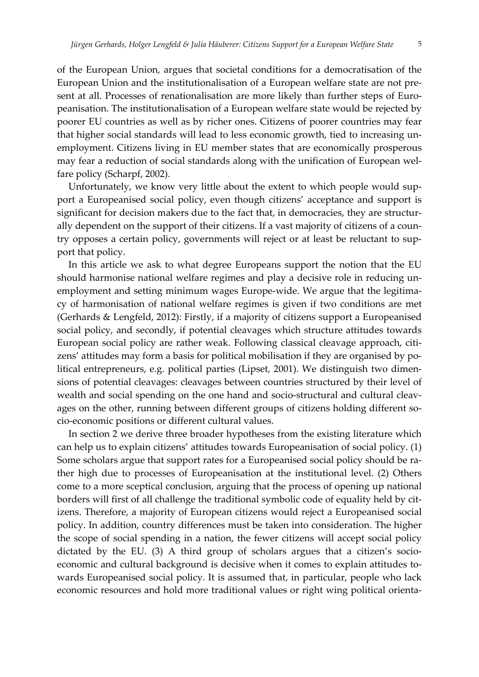of the European Union, argues that societal conditions for a democratisation of the European Union and the institutionalisation of a European welfare state are not pre‐ sent at all. Processes of renationalisation are more likely than further steps of Europeanisation. The institutionalisation of a European welfare state would be rejected by poorer EU countries as well as by richer ones. Citizens of poorer countries may fear that higher social standards will lead to less economic growth, tied to increasing un‐ employment. Citizens living in EU member states that are economically prosperous may fear a reduction of social standards along with the unification of European welfare policy (Scharpf, 2002).

Unfortunately, we know very little about the extent to which people would sup‐ port a Europeanised social policy, even though citizens' acceptance and support is significant for decision makers due to the fact that, in democracies, they are structurally dependent on the support of their citizens. If a vast majority of citizens of a country opposes a certain policy, governments will reject or at least be reluctant to support that policy.

In this article we ask to what degree Europeans support the notion that the EU should harmonise national welfare regimes and play a decisive role in reducing unemployment and setting minimum wages Europe-wide. We argue that the legitimacy of harmonisation of national welfare regimes is given if two conditions are met (Gerhards & Lengfeld, 2012): Firstly, if a majority of citizens support a Europeanised social policy, and secondly, if potential cleavages which structure attitudes towards European social policy are rather weak. Following classical cleavage approach, citizens' attitudes may form a basis for political mobilisation if they are organised by political entrepreneurs, e.g. political parties (Lipset, 2001). We distinguish two dimen‐ sions of potential cleavages: cleavages between countries structured by their level of wealth and social spending on the one hand and socio-structural and cultural cleavages on the other, running between different groups of citizens holding different socio‐economic positions or different cultural values.

In section 2 we derive three broader hypotheses from the existing literature which can help us to explain citizens' attitudes towards Europeanisation of social policy. (1) Some scholars argue that support rates for a Europeanised social policy should be rather high due to processes of Europeanisation at the institutional level. (2) Others come to a more sceptical conclusion, arguing that the process of opening up national borders will first of all challenge the traditional symbolic code of equality held by citizens. Therefore, a majority of European citizens would reject a Europeanised social policy. In addition, country differences must be taken into consideration. The higher the scope of social spending in a nation, the fewer citizens will accept social policy dictated by the EU. (3) A third group of scholars argues that a citizen's socio‐ economic and cultural background is decisive when it comes to explain attitudes towards Europeanised social policy. It is assumed that, in particular, people who lack economic resources and hold more traditional values or right wing political orienta‐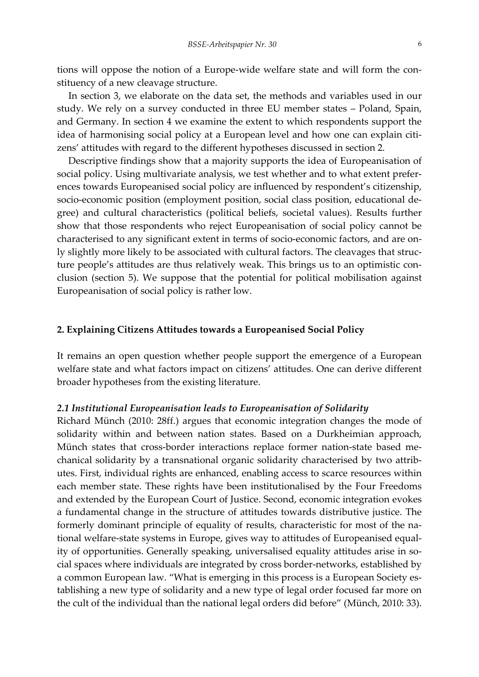tions will oppose the notion of a Europe‐wide welfare state and will form the con‐ stituency of a new cleavage structure.

In section 3, we elaborate on the data set, the methods and variables used in our study. We rely on a survey conducted in three EU member states – Poland, Spain, and Germany. In section 4 we examine the extent to which respondents support the idea of harmonising social policy at a European level and how one can explain citizens' attitudes with regard to the different hypotheses discussed in section 2.

Descriptive findings show that a majority supports the idea of Europeanisation of social policy. Using multivariate analysis, we test whether and to what extent preferences towards Europeanised social policy are influenced by respondent's citizenship, socio-economic position (employment position, social class position, educational degree) and cultural characteristics (political beliefs, societal values). Results further show that those respondents who reject Europeanisation of social policy cannot be characterised to any significant extent in terms of socio‐economic factors, and are on‐ ly slightly more likely to be associated with cultural factors. The cleavages that structure people's attitudes are thus relatively weak. This brings us to an optimistic conclusion (section 5). We suppose that the potential for political mobilisation against Europeanisation of social policy is rather low.

# **2. Explaining Citizens Attitudes towards a Europeanised Social Policy**

It remains an open question whether people support the emergence of a European welfare state and what factors impact on citizens' attitudes. One can derive different broader hypotheses from the existing literature.

#### *2.1 Institutional Europeanisation leads to Europeanisation of Solidarity*

Richard Münch (2010: 28ff.) argues that economic integration changes the mode of solidarity within and between nation states. Based on a Durkheimian approach, Münch states that cross-border interactions replace former nation-state based mechanical solidarity by a transnational organic solidarity characterised by two attrib‐ utes. First, individual rights are enhanced, enabling access to scarce resources within each member state. These rights have been institutionalised by the Four Freedoms and extended by the European Court of Justice. Second, economic integration evokes a fundamental change in the structure of attitudes towards distributive justice. The formerly dominant principle of equality of results, characteristic for most of the national welfare‐state systems in Europe, gives way to attitudes of Europeanised equal‐ ity of opportunities. Generally speaking, universalised equality attitudes arise in social spaces where individuals are integrated by cross border‐networks, established by a common European law. "What is emerging in this process is a European Society establishing a new type of solidarity and a new type of legal order focused far more on the cult of the individual than the national legal orders did before" (Münch, 2010: 33).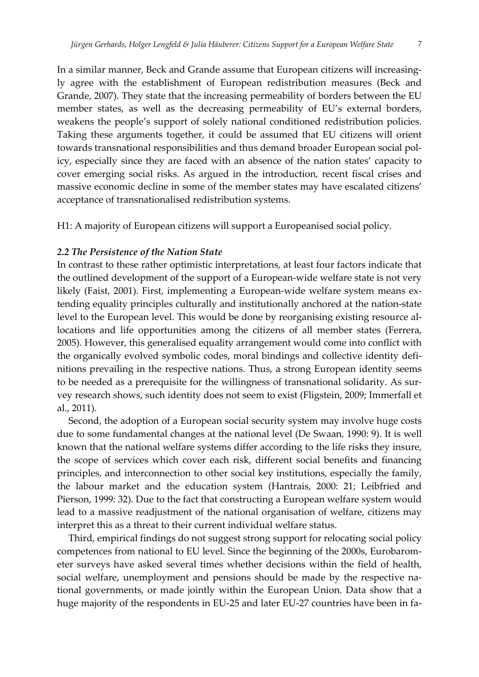In a similar manner, Beck and Grande assume that European citizens will increasing‐ ly agree with the establishment of European redistribution measures (Beck and Grande, 2007). They state that the increasing permeability of borders between the EU member states, as well as the decreasing permeability of EU's external borders, weakens the people's support of solely national conditioned redistribution policies. Taking these arguments together, it could be assumed that EU citizens will orient towards transnational responsibilities and thus demand broader European social pol‐ icy, especially since they are faced with an absence of the nation states' capacity to cover emerging social risks. As argued in the introduction, recent fiscal crises and massive economic decline in some of the member states may have escalated citizens' acceptance of transnationalised redistribution systems.

H1: A majority of European citizens will support a Europeanised social policy.

## *2.2 The Persistence of the Nation State*

In contrast to these rather optimistic interpretations, at least four factors indicate that the outlined development of the support of a European‐wide welfare state is not very likely (Faist, 2001). First, implementing a European-wide welfare system means extending equality principles culturally and institutionally anchored at the nation‐state level to the European level. This would be done by reorganising existing resource allocations and life opportunities among the citizens of all member states (Ferrera, 2005). However, this generalised equality arrangement would come into conflict with the organically evolved symbolic codes, moral bindings and collective identity definitions prevailing in the respective nations. Thus, a strong European identity seems to be needed as a prerequisite for the willingness of transnational solidarity. As survey research shows, such identity does not seem to exist (Fligstein, 2009; Immerfall et al., 2011).

Second, the adoption of a European social security system may involve huge costs due to some fundamental changes at the national level (De Swaan, 1990: 9). It is well known that the national welfare systems differ according to the life risks they insure, the scope of services which cover each risk, different social benefits and financing principles, and interconnection to other social key institutions, especially the family, the labour market and the education system (Hantrais, 2000: 21; Leibfried and Pierson, 1999: 32). Due to the fact that constructing a European welfare system would lead to a massive readjustment of the national organisation of welfare, citizens may interpret this as a threat to their current individual welfare status.

Third, empirical findings do not suggest strong support for relocating social policy competences from national to EU level. Since the beginning of the 2000s, Eurobarom‐ eter surveys have asked several times whether decisions within the field of health, social welfare, unemployment and pensions should be made by the respective national governments, or made jointly within the European Union. Data show that a huge majority of the respondents in EU-25 and later EU-27 countries have been in fa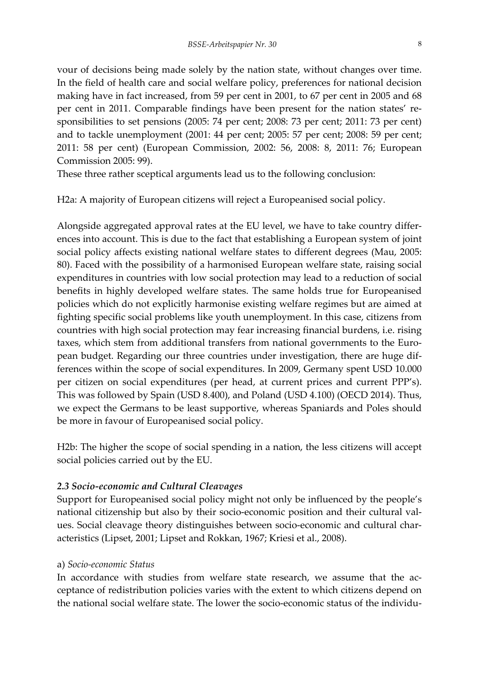vour of decisions being made solely by the nation state, without changes over time. In the field of health care and social welfare policy, preferences for national decision making have in fact increased, from 59 per cent in 2001, to 67 per cent in 2005 and 68 per cent in 2011. Comparable findings have been present for the nation states' responsibilities to set pensions (2005: 74 per cent; 2008: 73 per cent; 2011: 73 per cent) and to tackle unemployment (2001: 44 per cent; 2005: 57 per cent; 2008: 59 per cent; 2011: 58 per cent) (European Commission, 2002: 56, 2008: 8, 2011: 76; European Commission 2005: 99).

These three rather sceptical arguments lead us to the following conclusion:

H2a: A majority of European citizens will reject a Europeanised social policy.

Alongside aggregated approval rates at the EU level, we have to take country differ‐ ences into account. This is due to the fact that establishing a European system of joint social policy affects existing national welfare states to different degrees (Mau, 2005: 80). Faced with the possibility of a harmonised European welfare state, raising social expenditures in countries with low social protection may lead to a reduction of social benefits in highly developed welfare states. The same holds true for Europeanised policies which do not explicitly harmonise existing welfare regimes but are aimed at fighting specific social problems like youth unemployment. In this case, citizens from countries with high social protection may fear increasing financial burdens, i.e. rising taxes, which stem from additional transfers from national governments to the European budget. Regarding our three countries under investigation, there are huge dif‐ ferences within the scope of social expenditures. In 2009, Germany spent USD 10.000 per citizen on social expenditures (per head, at current prices and current PPP's). This was followed by Spain (USD 8.400), and Poland (USD 4.100) (OECD 2014). Thus, we expect the Germans to be least supportive, whereas Spaniards and Poles should be more in favour of Europeanised social policy.

H2b: The higher the scope of social spending in a nation, the less citizens will accept social policies carried out by the EU.

# *2.3 Socio‐economic and Cultural Cleavages*

Support for Europeanised social policy might not only be influenced by the people's national citizenship but also by their socio-economic position and their cultural values. Social cleavage theory distinguishes between socio‐economic and cultural char‐ acteristics (Lipset, 2001; Lipset and Rokkan, 1967; Kriesi et al., 2008).

# a) *Socio‐economic Status*

In accordance with studies from welfare state research, we assume that the acceptance of redistribution policies varies with the extent to which citizens depend on the national social welfare state. The lower the socio‐economic status of the individu‐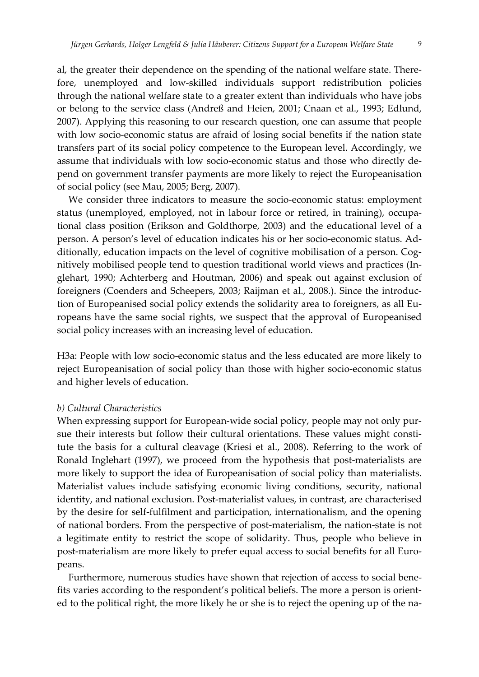al, the greater their dependence on the spending of the national welfare state. Therefore, unemployed and low-skilled individuals support redistribution policies through the national welfare state to a greater extent than individuals who have jobs or belong to the service class (Andreß and Heien, 2001; Cnaan et al., 1993; Edlund, 2007). Applying this reasoning to our research question, one can assume that people with low socio-economic status are afraid of losing social benefits if the nation state transfers part of its social policy competence to the European level. Accordingly, we assume that individuals with low socio‐economic status and those who directly de‐ pend on government transfer payments are more likely to reject the Europeanisation of social policy (see Mau, 2005; Berg, 2007).

We consider three indicators to measure the socio-economic status: employment status (unemployed, employed, not in labour force or retired, in training), occupa‐ tional class position (Erikson and Goldthorpe, 2003) and the educational level of a person. A person's level of education indicates his or her socio‐economic status. Ad‐ ditionally, education impacts on the level of cognitive mobilisation of a person. Cognitively mobilised people tend to question traditional world views and practices (In‐ glehart, 1990; Achterberg and Houtman, 2006) and speak out against exclusion of foreigners (Coenders and Scheepers, 2003; Raijman et al., 2008.). Since the introduc‐ tion of Europeanised social policy extends the solidarity area to foreigners, as all Eu‐ ropeans have the same social rights, we suspect that the approval of Europeanised social policy increases with an increasing level of education.

H3a: People with low socio‐economic status and the less educated are more likely to reject Europeanisation of social policy than those with higher socio‐economic status and higher levels of education.

#### *b) Cultural Characteristics*

When expressing support for European-wide social policy, people may not only pursue their interests but follow their cultural orientations. These values might constitute the basis for a cultural cleavage (Kriesi et al., 2008). Referring to the work of Ronald Inglehart (1997), we proceed from the hypothesis that post-materialists are more likely to support the idea of Europeanisation of social policy than materialists. Materialist values include satisfying economic living conditions, security, national identity, and national exclusion. Post-materialist values, in contrast, are characterised by the desire for self‐fulfilment and participation, internationalism, and the opening of national borders. From the perspective of post‐materialism, the nation‐state is not a legitimate entity to restrict the scope of solidarity. Thus, people who believe in post-materialism are more likely to prefer equal access to social benefits for all Europeans.

Furthermore, numerous studies have shown that rejection of access to social bene‐ fits varies according to the respondent's political beliefs. The more a person is oriented to the political right, the more likely he or she is to reject the opening up of the na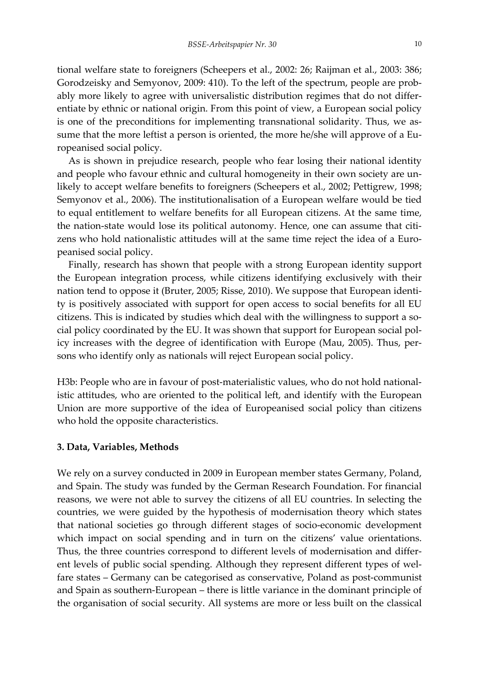tional welfare state to foreigners (Scheepers et al., 2002: 26; Raijman et al., 2003: 386; Gorodzeisky and Semyonov, 2009: 410). To the left of the spectrum, people are probably more likely to agree with universalistic distribution regimes that do not differ‐ entiate by ethnic or national origin. From this point of view, a European social policy is one of the preconditions for implementing transnational solidarity. Thus, we assume that the more leftist a person is oriented, the more he/she will approve of a Europeanised social policy.

As is shown in prejudice research, people who fear losing their national identity and people who favour ethnic and cultural homogeneity in their own society are unlikely to accept welfare benefits to foreigners (Scheepers et al., 2002; Pettigrew, 1998; Semyonov et al., 2006). The institutionalisation of a European welfare would be tied to equal entitlement to welfare benefits for all European citizens. At the same time, the nation-state would lose its political autonomy. Hence, one can assume that citizens who hold nationalistic attitudes will at the same time reject the idea of a Europeanised social policy.

Finally, research has shown that people with a strong European identity support the European integration process, while citizens identifying exclusively with their nation tend to oppose it (Bruter, 2005; Risse, 2010). We suppose that European identity is positively associated with support for open access to social benefits for all EU citizens. This is indicated by studies which deal with the willingness to support a social policy coordinated by the EU. It was shown that support for European social pol‐ icy increases with the degree of identification with Europe (Mau, 2005). Thus, per‐ sons who identify only as nationals will reject European social policy.

H3b: People who are in favour of post-materialistic values, who do not hold nationalistic attitudes, who are oriented to the political left, and identify with the European Union are more supportive of the idea of Europeanised social policy than citizens who hold the opposite characteristics.

### **3. Data, Variables, Methods**

We rely on a survey conducted in 2009 in European member states Germany, Poland, and Spain. The study was funded by the German Research Foundation. For financial reasons, we were not able to survey the citizens of all EU countries. In selecting the countries, we were guided by the hypothesis of modernisation theory which states that national societies go through different stages of socio‐economic development which impact on social spending and in turn on the citizens' value orientations. Thus, the three countries correspond to different levels of modernisation and differ‐ ent levels of public social spending. Although they represent different types of welfare states – Germany can be categorised as conservative, Poland as post-communist and Spain as southern‐European – there is little variance in the dominant principle of the organisation of social security. All systems are more or less built on the classical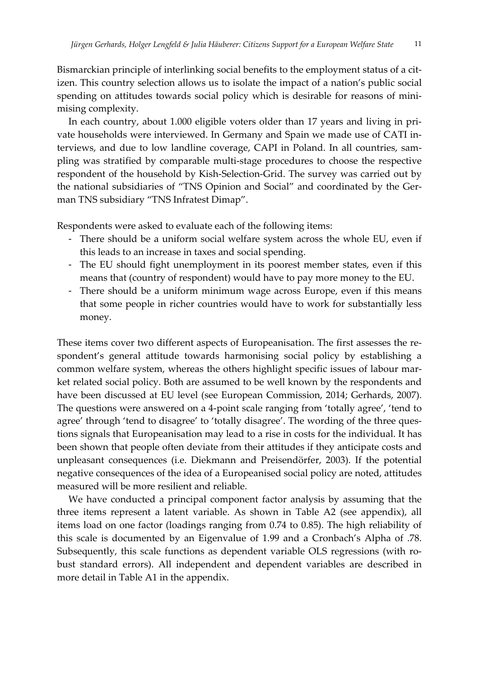Bismarckian principle of interlinking social benefits to the employment status of a citizen. This country selection allows us to isolate the impact of a nation's public social spending on attitudes towards social policy which is desirable for reasons of minimising complexity.

In each country, about 1.000 eligible voters older than 17 years and living in private households were interviewed. In Germany and Spain we made use of CATI in‐ terviews, and due to low landline coverage, CAPI in Poland. In all countries, sampling was stratified by comparable multi‐stage procedures to choose the respective respondent of the household by Kish‐Selection‐Grid. The survey was carried out by the national subsidiaries of "TNS Opinion and Social" and coordinated by the Ger‐ man TNS subsidiary "TNS Infratest Dimap".

Respondents were asked to evaluate each of the following items:

- There should be a uniform social welfare system across the whole EU, even if this leads to an increase in taxes and social spending.
- The EU should fight unemployment in its poorest member states, even if this means that (country of respondent) would have to pay more money to the EU.
- There should be a uniform minimum wage across Europe, even if this means that some people in richer countries would have to work for substantially less money.

These items cover two different aspects of Europeanisation. The first assesses the respondent's general attitude towards harmonising social policy by establishing a common welfare system, whereas the others highlight specific issues of labour market related social policy. Both are assumed to be well known by the respondents and have been discussed at EU level (see European Commission, 2014; Gerhards, 2007). The questions were answered on a 4‐point scale ranging from 'totally agree', 'tend to agree' through 'tend to disagree' to 'totally disagree'. The wording of the three questions signals that Europeanisation may lead to a rise in costs for the individual. It has been shown that people often deviate from their attitudes if they anticipate costs and unpleasant consequences (i.e. Diekmann and Preisendörfer, 2003). If the potential negative consequences of the idea of a Europeanised social policy are noted, attitudes measured will be more resilient and reliable.

We have conducted a principal component factor analysis by assuming that the three items represent a latent variable. As shown in Table A2 (see appendix), all items load on one factor (loadings ranging from 0.74 to 0.85). The high reliability of this scale is documented by an Eigenvalue of 1.99 and a Cronbach's Alpha of .78. Subsequently, this scale functions as dependent variable OLS regressions (with robust standard errors). All independent and dependent variables are described in more detail in Table A1 in the appendix.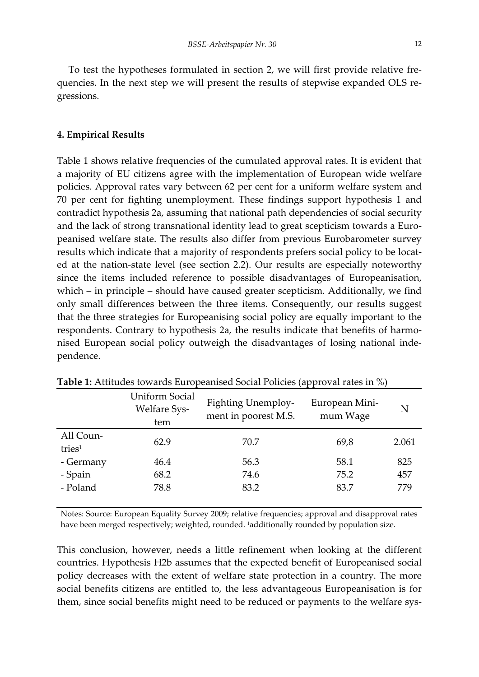To test the hypotheses formulated in section 2, we will first provide relative fre‐ quencies. In the next step we will present the results of stepwise expanded OLS regressions.

#### **4. Empirical Results**

Table 1 shows relative frequencies of the cumulated approval rates. It is evident that a majority of EU citizens agree with the implementation of European wide welfare policies. Approval rates vary between 62 per cent for a uniform welfare system and 70 per cent for fighting unemployment. These findings support hypothesis 1 and contradict hypothesis 2a, assuming that national path dependencies of social security and the lack of strong transnational identity lead to great scepticism towards a Europeanised welfare state. The results also differ from previous Eurobarometer survey results which indicate that a majority of respondents prefers social policy to be located at the nation‐state level (see section 2.2). Our results are especially noteworthy since the items included reference to possible disadvantages of Europeanisation, which – in principle – should have caused greater scepticism. Additionally, we find only small differences between the three items. Consequently, our results suggest that the three strategies for Europeanising social policy are equally important to the respondents. Contrary to hypothesis 2a, the results indicate that benefits of harmonised European social policy outweigh the disadvantages of losing national inde‐ pendence.

|                                 | <b>Uniform Social</b><br><b>Welfare Sys-</b><br>tem | <b>Fighting Unemploy-</b><br>ment in poorest M.S. | European Mini-<br>mum Wage | N     |
|---------------------------------|-----------------------------------------------------|---------------------------------------------------|----------------------------|-------|
| All Coun-<br>tries <sup>1</sup> | 62.9                                                | 70.7                                              | 69,8                       | 2.061 |
| - Germany                       | 46.4                                                | 56.3                                              | 58.1                       | 825   |
| - Spain                         | 68.2                                                | 74.6                                              | 75.2                       | 457   |
| - Poland                        | 78.8                                                | 83.2                                              | 83.7                       | 779   |

**Table 1:** Attitudes towards Europeanised Social Policies (approval rates in %)

Notes: Source: European Equality Survey 2009; relative frequencies; approval and disapproval rates have been merged respectively; weighted, rounded. 1additionally rounded by population size.

This conclusion, however, needs a little refinement when looking at the different countries. Hypothesis H2b assumes that the expected benefit of Europeanised social policy decreases with the extent of welfare state protection in a country. The more social benefits citizens are entitled to, the less advantageous Europeanisation is for them, since social benefits might need to be reduced or payments to the welfare sys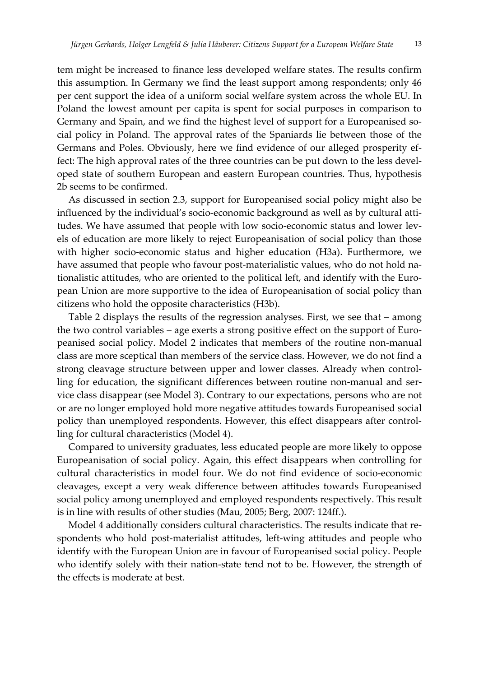tem might be increased to finance less developed welfare states. The results confirm this assumption. In Germany we find the least support among respondents; only 46 per cent support the idea of a uniform social welfare system across the whole EU. In Poland the lowest amount per capita is spent for social purposes in comparison to Germany and Spain, and we find the highest level of support for a Europeanised social policy in Poland. The approval rates of the Spaniards lie between those of the Germans and Poles. Obviously, here we find evidence of our alleged prosperity effect: The high approval rates of the three countries can be put down to the less developed state of southern European and eastern European countries. Thus, hypothesis 2b seems to be confirmed.

As discussed in section 2.3, support for Europeanised social policy might also be influenced by the individual's socio-economic background as well as by cultural attitudes. We have assumed that people with low socio-economic status and lower levels of education are more likely to reject Europeanisation of social policy than those with higher socio-economic status and higher education (H3a). Furthermore, we have assumed that people who favour post-materialistic values, who do not hold nationalistic attitudes, who are oriented to the political left, and identify with the European Union are more supportive to the idea of Europeanisation of social policy than citizens who hold the opposite characteristics (H3b).

Table 2 displays the results of the regression analyses. First, we see that – among the two control variables – age exerts a strong positive effect on the support of Europeanised social policy. Model 2 indicates that members of the routine non‐manual class are more sceptical than members of the service class. However, we do not find a strong cleavage structure between upper and lower classes. Already when control‐ ling for education, the significant differences between routine non-manual and service class disappear (see Model 3). Contrary to our expectations, persons who are not or are no longer employed hold more negative attitudes towards Europeanised social policy than unemployed respondents. However, this effect disappears after controlling for cultural characteristics (Model 4).

Compared to university graduates, less educated people are more likely to oppose Europeanisation of social policy. Again, this effect disappears when controlling for cultural characteristics in model four. We do not find evidence of socio‐economic cleavages, except a very weak difference between attitudes towards Europeanised social policy among unemployed and employed respondents respectively. This result is in line with results of other studies (Mau, 2005; Berg, 2007: 124ff.).

Model 4 additionally considers cultural characteristics. The results indicate that respondents who hold post-materialist attitudes, left-wing attitudes and people who identify with the European Union are in favour of Europeanised social policy. People who identify solely with their nation-state tend not to be. However, the strength of the effects is moderate at best.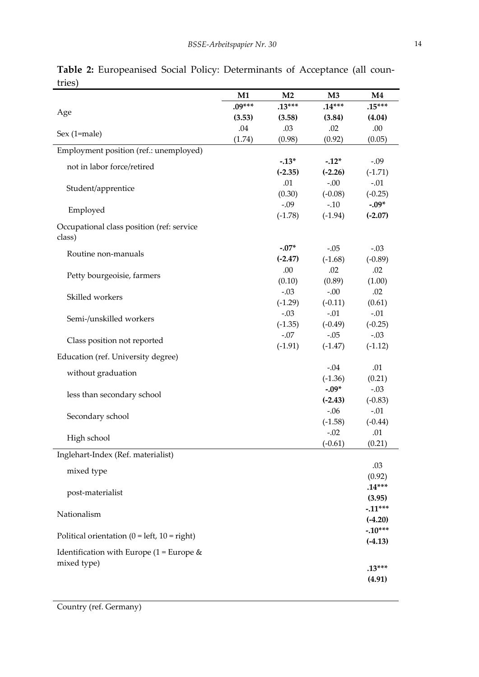|                                                     | M1       | M <sub>2</sub> | $\mathbf{M}3$ | M4        |
|-----------------------------------------------------|----------|----------------|---------------|-----------|
|                                                     | $.09***$ | $.13***$       | $.14***$      | $.15***$  |
| Age                                                 | (3.53)   | (3.58)         | (3.84)        | (4.04)    |
| Sex (1=male)                                        | .04      | .03            | .02           | .00       |
|                                                     | (1.74)   | (0.98)         | (0.92)        | (0.05)    |
| Employment position (ref.: unemployed)              |          |                |               |           |
| not in labor force/retired                          |          | $-.13*$        | $-.12*$       | $-.09$    |
|                                                     |          | $(-2.35)$      | $(-2.26)$     | $(-1.71)$ |
| Student/apprentice                                  |          | .01            | $-.00$        | $-.01$    |
|                                                     |          | (0.30)         | $(-0.08)$     | $(-0.25)$ |
| Employed                                            |          | $-.09$         | $-.10$        | $-.09*$   |
|                                                     |          | $(-1.78)$      | $(-1.94)$     | $(-2.07)$ |
| Occupational class position (ref: service<br>class) |          |                |               |           |
|                                                     |          | $-.07*$        | $-.05$        | $-.03$    |
| Routine non-manuals                                 |          | $(-2.47)$      | $(-1.68)$     | $(-0.89)$ |
|                                                     |          | .00            | .02           | .02       |
| Petty bourgeoisie, farmers                          |          | (0.10)         | (0.89)        | (1.00)    |
| Skilled workers                                     |          | $-.03$         | $-0.00$       | .02       |
|                                                     |          | $(-1.29)$      | $(-0.11)$     | (0.61)    |
| Semi-/unskilled workers                             |          | $-.03$         | $-.01$        | $-.01$    |
|                                                     |          | $(-1.35)$      | $(-0.49)$     | $(-0.25)$ |
| Class position not reported                         |          | $-.07$         | $-.05$        | $-.03$    |
|                                                     |          | $(-1.91)$      | $(-1.47)$     | $(-1.12)$ |
| Education (ref. University degree)                  |          |                |               |           |
| without graduation                                  |          |                | $-.04$        | .01       |
|                                                     |          |                | $(-1.36)$     | (0.21)    |
| less than secondary school                          |          |                | $-.09*$       | $-.03$    |
|                                                     |          |                | $(-2.43)$     | $(-0.83)$ |
| Secondary school                                    |          |                | $-.06$        | $-.01$    |
|                                                     |          |                | $(-1.58)$     | $(-0.44)$ |
| High school                                         |          |                | $-.02$        | .01       |
|                                                     |          |                | $(-0.61)$     | (0.21)    |
| Inglehart-Index (Ref. materialist)                  |          |                |               | .03       |
| mixed type                                          |          |                |               | (0.92)    |
|                                                     |          |                |               | $.14***$  |
| post-materialist                                    |          |                |               | (3.95)    |
|                                                     |          |                |               | $-.11***$ |
| Nationalism                                         |          |                |               | $(-4.20)$ |
|                                                     |          |                |               | $-.10***$ |
| Political orientation ( $0 = left$ , $10 = right$ ) |          |                |               | $(-4.13)$ |
| Identification with Europe $(1 = Europe &$          |          |                |               |           |
| mixed type)                                         |          |                |               |           |
|                                                     |          |                |               | $.13***$  |
|                                                     |          |                |               | (4.91)    |

**Table 2:** Europeanised Social Policy: Determinants of Acceptance (all coun‐ tries)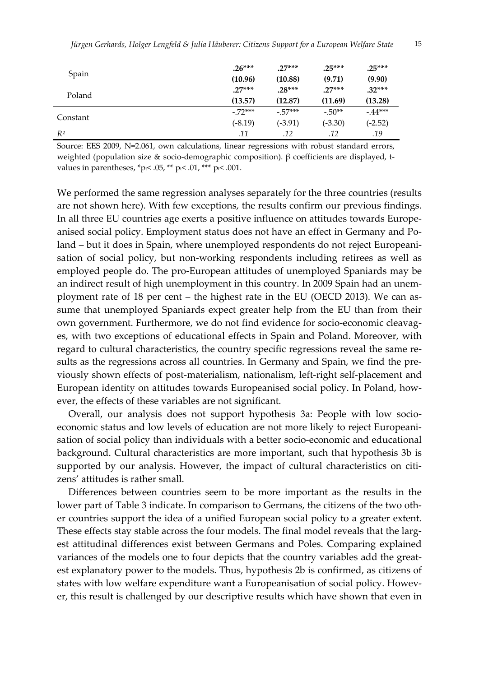| Spain    | $.26***$  | $.27***$  | $.25***$  | $.25***$  |
|----------|-----------|-----------|-----------|-----------|
|          | (10.96)   | (10.88)   | (9.71)    | (9.90)    |
| Poland   | $.27***$  | $.28***$  | $.27***$  | $.32***$  |
|          | (13.57)   | (12.87)   | (11.69)   | (13.28)   |
|          | $-72***$  | $-.57***$ | $-.50**$  | $-44***$  |
| Constant | $(-8.19)$ | $(-3.91)$ | $(-3.30)$ | $(-2.52)$ |
| $R^2$    | .11       | .12       | .12       | .19       |

Source: EES 2009, N=2.061, own calculations, linear regressions with robust standard errors, weighted (population size & socio-demographic composition). β coefficients are displayed, tvalues in parentheses,  $*p_i$ < .05,  $*$  $p_i$  < .01,  $*$  $*$  $p_i$  < .001.

We performed the same regression analyses separately for the three countries (results are not shown here). With few exceptions, the results confirm our previous findings. In all three EU countries age exerts a positive influence on attitudes towards Europe‐ anised social policy. Employment status does not have an effect in Germany and Poland – but it does in Spain, where unemployed respondents do not reject Europeanisation of social policy, but non-working respondents including retirees as well as employed people do. The pro‐European attitudes of unemployed Spaniards may be an indirect result of high unemployment in this country. In 2009 Spain had an unemployment rate of 18 per cent – the highest rate in the EU (OECD 2013). We can as‐ sume that unemployed Spaniards expect greater help from the EU than from their own government. Furthermore, we do not find evidence for socio-economic cleavages, with two exceptions of educational effects in Spain and Poland. Moreover, with regard to cultural characteristics, the country specific regressions reveal the same results as the regressions across all countries. In Germany and Spain, we find the previously shown effects of post‐materialism, nationalism, left‐right self‐placement and European identity on attitudes towards Europeanised social policy. In Poland, how‐ ever, the effects of these variables are not significant.

Overall, our analysis does not support hypothesis 3a: People with low socioeconomic status and low levels of education are not more likely to reject Europeani‐ sation of social policy than individuals with a better socio-economic and educational background. Cultural characteristics are more important, such that hypothesis 3b is supported by our analysis. However, the impact of cultural characteristics on citizens' attitudes is rather small.

Differences between countries seem to be more important as the results in the lower part of Table 3 indicate. In comparison to Germans, the citizens of the two other countries support the idea of a unified European social policy to a greater extent. These effects stay stable across the four models. The final model reveals that the largest attitudinal differences exist between Germans and Poles. Comparing explained variances of the models one to four depicts that the country variables add the greatest explanatory power to the models. Thus, hypothesis 2b is confirmed, as citizens of states with low welfare expenditure want a Europeanisation of social policy. However, this result is challenged by our descriptive results which have shown that even in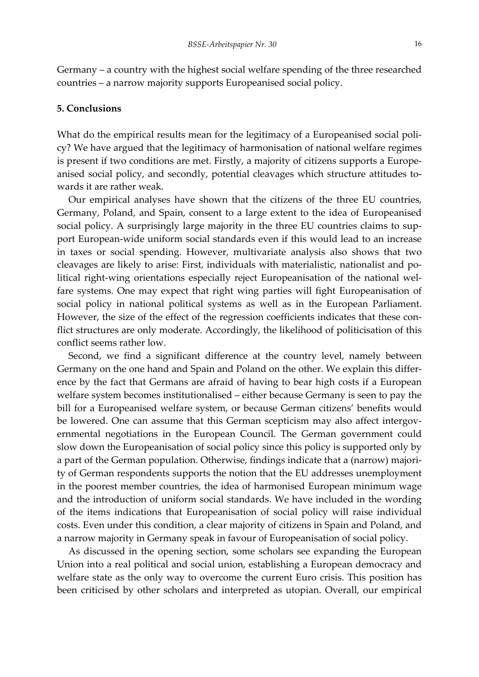Germany – a country with the highest social welfare spending of the three researched countries – a narrow majority supports Europeanised social policy.

#### **5. Conclusions**

What do the empirical results mean for the legitimacy of a Europeanised social policy? We have argued that the legitimacy of harmonisation of national welfare regimes is present if two conditions are met. Firstly, a majority of citizens supports a Europeanised social policy, and secondly, potential cleavages which structure attitudes towards it are rather weak.

Our empirical analyses have shown that the citizens of the three EU countries, Germany, Poland, and Spain, consent to a large extent to the idea of Europeanised social policy. A surprisingly large majority in the three EU countries claims to support European‐wide uniform social standards even if this would lead to an increase in taxes or social spending. However, multivariate analysis also shows that two cleavages are likely to arise: First, individuals with materialistic, nationalist and po‐ litical right-wing orientations especially reject Europeanisation of the national welfare systems. One may expect that right wing parties will fight Europeanisation of social policy in national political systems as well as in the European Parliament. However, the size of the effect of the regression coefficients indicates that these conflict structures are only moderate. Accordingly, the likelihood of politicisation of this conflict seems rather low.

Second, we find a significant difference at the country level, namely between Germany on the one hand and Spain and Poland on the other. We explain this differ‐ ence by the fact that Germans are afraid of having to bear high costs if a European welfare system becomes institutionalised – either because Germany is seen to pay the bill for a Europeanised welfare system, or because German citizens' benefits would be lowered. One can assume that this German scepticism may also affect intergovernmental negotiations in the European Council. The German government could slow down the Europeanisation of social policy since this policy is supported only by a part of the German population. Otherwise, findings indicate that a (narrow) majori‐ ty of German respondents supports the notion that the EU addresses unemployment in the poorest member countries, the idea of harmonised European minimum wage and the introduction of uniform social standards. We have included in the wording of the items indications that Europeanisation of social policy will raise individual costs. Even under this condition, a clear majority of citizens in Spain and Poland, and a narrow majority in Germany speak in favour of Europeanisation of social policy.

As discussed in the opening section, some scholars see expanding the European Union into a real political and social union, establishing a European democracy and welfare state as the only way to overcome the current Euro crisis. This position has been criticised by other scholars and interpreted as utopian. Overall, our empirical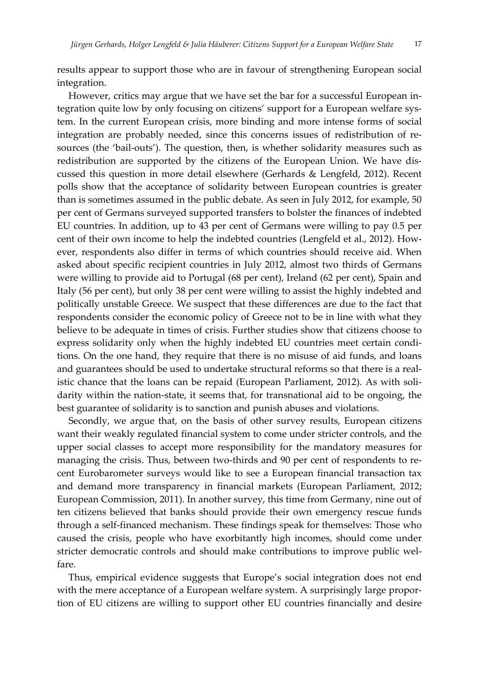results appear to support those who are in favour of strengthening European social integration.

However, critics may argue that we have set the bar for a successful European in‐ tegration quite low by only focusing on citizens' support for a European welfare system. In the current European crisis, more binding and more intense forms of social integration are probably needed, since this concerns issues of redistribution of resources (the 'bail-outs'). The question, then, is whether solidarity measures such as redistribution are supported by the citizens of the European Union. We have dis‐ cussed this question in more detail elsewhere (Gerhards & Lengfeld, 2012). Recent polls show that the acceptance of solidarity between European countries is greater than is sometimes assumed in the public debate. As seen in July 2012, for example, 50 per cent of Germans surveyed supported transfers to bolster the finances of indebted EU countries. In addition, up to 43 per cent of Germans were willing to pay 0.5 per cent of their own income to help the indebted countries (Lengfeld et al., 2012). How‐ ever, respondents also differ in terms of which countries should receive aid. When asked about specific recipient countries in July 2012, almost two thirds of Germans were willing to provide aid to Portugal (68 per cent), Ireland (62 per cent), Spain and Italy (56 per cent), but only 38 per cent were willing to assist the highly indebted and politically unstable Greece. We suspect that these differences are due to the fact that respondents consider the economic policy of Greece not to be in line with what they believe to be adequate in times of crisis. Further studies show that citizens choose to express solidarity only when the highly indebted EU countries meet certain conditions. On the one hand, they require that there is no misuse of aid funds, and loans and guarantees should be used to undertake structural reforms so that there is a real‐ istic chance that the loans can be repaid (European Parliament, 2012). As with solidarity within the nation‐state, it seems that, for transnational aid to be ongoing, the best guarantee of solidarity is to sanction and punish abuses and violations.

Secondly, we argue that, on the basis of other survey results, European citizens want their weakly regulated financial system to come under stricter controls, and the upper social classes to accept more responsibility for the mandatory measures for managing the crisis. Thus, between two-thirds and 90 per cent of respondents to recent Eurobarometer surveys would like to see a European financial transaction tax and demand more transparency in financial markets (European Parliament, 2012; European Commission, 2011). In another survey, this time from Germany, nine out of ten citizens believed that banks should provide their own emergency rescue funds through a self‐financed mechanism. These findings speak for themselves: Those who caused the crisis, people who have exorbitantly high incomes, should come under stricter democratic controls and should make contributions to improve public welfare.

Thus, empirical evidence suggests that Europe's social integration does not end with the mere acceptance of a European welfare system. A surprisingly large proportion of EU citizens are willing to support other EU countries financially and desire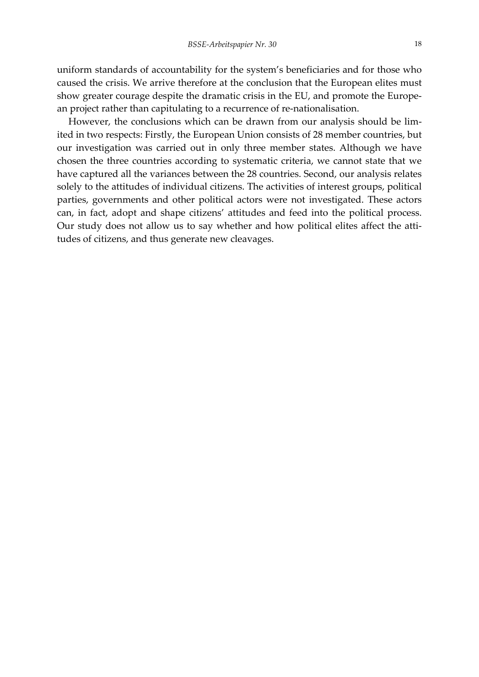uniform standards of accountability for the system's beneficiaries and for those who caused the crisis. We arrive therefore at the conclusion that the European elites must show greater courage despite the dramatic crisis in the EU, and promote the European project rather than capitulating to a recurrence of re‐nationalisation.

However, the conclusions which can be drawn from our analysis should be limited in two respects: Firstly, the European Union consists of 28 member countries, but our investigation was carried out in only three member states. Although we have chosen the three countries according to systematic criteria, we cannot state that we have captured all the variances between the 28 countries. Second, our analysis relates solely to the attitudes of individual citizens. The activities of interest groups, political parties, governments and other political actors were not investigated. These actors can, in fact, adopt and shape citizens' attitudes and feed into the political process. Our study does not allow us to say whether and how political elites affect the attitudes of citizens, and thus generate new cleavages.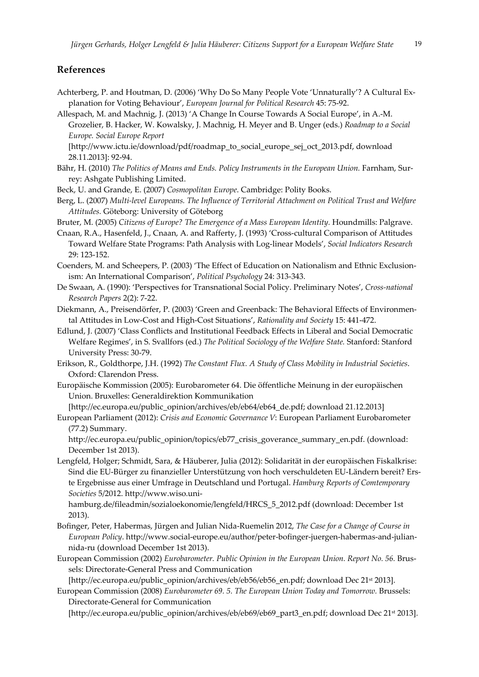# **References**

- Achterberg, P. and Houtman, D. (2006) 'Why Do So Many People Vote 'Unnaturally'? A Cultural Ex‐ planation for Voting Behaviour', *European Journal for Political Research* 45: 75‐92.
- Allespach, M. and Machnig, J. (2013) 'A Change In Course Towards A Social Europe', in A.‐M. Grozelier, B. Hacker, W. Kowalsky, J. Machnig, H. Meyer and B. Unger (eds.) *Roadmap to a Social Europe. Social Europe Report*
	- [http://www.ictu.ie/download/pdf/roadmap\_to\_social\_europe\_sej\_oct\_2013.pdf, download 28.11.2013]: 92‐94.
- Bähr, H. (2010) *The Politics of Means and Ends. Policy Instruments in the European Union.* Farnham, Sur‐ rey: Ashgate Publishing Limited.
- Beck, U. and Grande, E. (2007) *Cosmopolitan Europe*. Cambridge: Polity Books.
- Berg, L. (2007) *Multi‐level Europeans. The Influence of Territorial Attachment on Political Trust and Welfare Attitudes.* Göteborg: University of Göteborg
- Bruter, M. (2005) *Citizens of Europe? The Emergence of a Mass European Identity.* Houndmills: Palgrave.
- Cnaan, R.A., Hasenfeld, J., Cnaan, A. and Rafferty, J. (1993) 'Cross‐cultural Comparison of Attitudes Toward Welfare State Programs: Path Analysis with Log‐linear Models', *Social Indicators Research* 29: 123‐152.
- Coenders, M. and Scheepers, P. (2003) 'The Effect of Education on Nationalism and Ethnic Exclusion‐ ism: An International Comparison', *Political Psychology* 24: 313‐343.
- De Swaan, A. (1990): 'Perspectives for Transnational Social Policy. Preliminary Notes', *Cross‐national Research Papers* 2(2): 7‐22.
- Diekmann, A., Preisendörfer, P. (2003) 'Green and Greenback: The Behavioral Effects of Environmen‐ tal Attitudes in Low‐Cost and High‐Cost Situations', *Rationality and Society* 15: 441‐472.
- Edlund, J. (2007) 'Class Conflicts and Institutional Feedback Effects in Liberal and Social Democratic Welfare Regimes', in S. Svallfors (ed.) *The Political Sociology of the Welfare State.* Stanford: Stanford University Press: 30‐79.
- Erikson, R., Goldthorpe, J.H. (1992) *The Constant Flux. A Study of Class Mobility in Industrial Societies*. Oxford: Clarendon Press.
- Europäische Kommission (2005): Eurobarometer 64. Die öffentliche Meinung in der europäischen Union. Bruxelles: Generaldirektion Kommunikation

[http://ec.europa.eu/public\_opinion/archives/eb/eb64/eb64\_de.pdf; download 21.12.2013]

European Parliament (2012): *Crisis and Economic Governance V*: European Parliament Eurobarometer (77.2) Summary.

http://ec.europa.eu/public\_opinion/topics/eb77\_crisis\_goverance\_summary\_en.pdf. (download: December 1st 2013).

Lengfeld, Holger; Schmidt, Sara, & Häuberer, Julia (2012): Solidarität in der europäischen Fiskalkrise: Sind die EU‐Bürger zu finanzieller Unterstützung von hoch verschuldeten EU‐Ländern bereit? Ers‐ te Ergebnisse aus einer Umfrage in Deutschland und Portugal. *Hamburg Reports of Comtemporary Societies* 5/2012. http://www.wiso.uni‐

hamburg.de/fileadmin/sozialoekonomie/lengfeld/HRCS\_5\_2012.pdf (download: December 1st 2013).

- Bofinger, Peter, Habermas, Jürgen and Julian Nida‐Ruemelin 2012, *The Case for a Change of Course in European Policy*. http://www.social‐europe.eu/author/peter‐bofinger‐juergen‐habermas‐and‐julian‐ nida‐ru (download December 1st 2013).
- European Commission (2002) *Eurobarometer. Public Opinion in the European Union. Report No. 56.* Brus‐ sels: Directorate‐General Press and Communication

[http://ec.europa.eu/public\_opinion/archives/eb/eb56/eb56\_en.pdf; download Dec 21<sup>st</sup> 2013].

European Commission (2008) *Eurobarometer 69. 5. The European Union Today and Tomorrow.* Brussels: Directorate‐General for Communication

[http://ec.europa.eu/public\_opinion/archives/eb/eb69/eb69\_part3\_en.pdf; download Dec 21st 2013].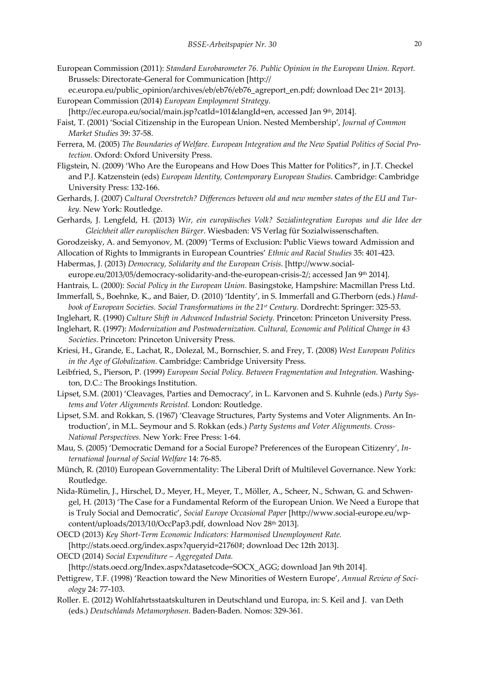- European Commission (2011): *Standard Eurobarometer 76. Public Opinion in the European Union. Report.* Brussels: Directorate‐General for Communication [http://
- ec.europa.eu/public\_opinion/archives/eb/eb76/eb76\_agreport\_en.pdf; download Dec 21<sup>st</sup> 2013]. European Commission (2014) *European Employment Strategy.*
- [http://ec.europa.eu/social/main.jsp?catId=101&langId=en, accessed Jan 9th, 2014].
- Faist, T. (2001) 'Social Citizenship in the European Union. Nested Membership', *Journal of Common Market Studies* 39: 37‐58.
- Ferrera, M. (2005) *The Boundaries of Welfare. European Integration and the New Spatial Politics of Social Pro‐ tection.* Oxford: Oxford University Press.
- Fligstein, N. (2009) 'Who Are the Europeans and How Does This Matter for Politics?', in J.T. Checkel and P.J. Katzenstein (eds) *European Identity, Contemporary European Studies*. Cambridge: Cambridge University Press: 132‐166.
- Gerhards, J. (2007) *Cultural Overstretch? Differences between old and new member states of the EU and Tur‐ key.* New York: Routledge.
- Gerhards, J. Lengfeld, H. (2013) *Wir, ein europäisches Volk? Sozialintegration Europas und die Idee der Gleichheit aller europäischen Bürger*. Wiesbaden: VS Verlag für Sozialwissenschaften.
- Gorodzeisky, A. and Semyonov, M. (2009) 'Terms of Exclusion: Public Views toward Admission and
- Allocation of Rights to Immigrants in European Countries' *Ethnic and Racial Studies* 35: 401‐423.
- Habermas, J. (2013) *Democracy, Solidarity and the European Crisis.* [http://www.social‐
- europe.eu/2013/05/democracy-solidarity-and-the-european-crisis-2/; accessed Jan 9th 2014].
- Hantrais, L. (2000): *Social Policy in the European Union.* Basingstoke, Hampshire: Macmillan Press Ltd.
- Immerfall, S., Boehnke, K., and Baier, D. (2010) 'Identity', in S. Immerfall and G.Therborn (eds.) *Hand‐ book of European Societies. Social Transformations in the 21st Century.* Dordrecht: Springer: 325‐53.
- Inglehart, R. (1990) *Culture Shift in Advanced Industrial Society.* Princeton: Princeton University Press.
- Inglehart, R. (1997): *Modernization and Postmodernization. Cultural, Economic and Political Change in 43 Societies*. Princeton: Princeton University Press.
- Kriesi, H., Grande, E., Lachat, R., Dolezal, M., Bornschier, S. and Frey, T. (2008) *West European Politics in the Age of Globalization.* Cambridge: Cambridge University Press.
- Leibfried, S., Pierson, P. (1999) *European Social Policy. Between Fragmentation and Integration.* Washing‐ ton, D.C.: The Brookings Institution.
- Lipset, S.M. (2001) 'Cleavages, Parties and Democracy', in L. Karvonen and S. Kuhnle (eds.) *Party Sys‐ tems and Voter Alignments Revisted.* London: Routledge.
- Lipset, S.M. and Rokkan, S. (1967) 'Cleavage Structures, Party Systems and Voter Alignments. An In‐ troduction', in M.L. Seymour and S. Rokkan (eds.) *Party Systems and Voter Alignments. Cross‐ National Perspectives.* New York: Free Press: 1‐64.
- Mau, S. (2005) 'Democratic Demand for a Social Europe? Preferences of the European Citizenry', *In‐ ternational Journal of Social Welfare* 14: 76‐85.
- Münch, R. (2010) European Governmentality: The Liberal Drift of Multilevel Governance. New York: Routledge.
- Nida‐Rümelin, J., Hirschel, D., Meyer, H., Meyer, T., Möller, A., Scheer, N., Schwan, G. and Schwen‐ gel, H. (2013) 'The Case for a Fundamental Reform of the European Union. We Need a Europe that is Truly Social and Democratic', *Social Europe Occasional Paper* [http://www.social‐europe.eu/wp‐ content/uploads/2013/10/OccPap3.pdf, download Nov 28th 2013].
- OECD (2013) *Key Short‐Term Economic Indicators: Harmonised Unemployment Rate.* [http://stats.oecd.org/index.aspx?queryid=21760#; download Dec 12th 2013].
- OECD (2014) *Social Expenditure – Aggregated Data.*

[http://stats.oecd.org/Index.aspx?datasetcode=SOCX\_AGG; download Jan 9th 2014].

- Pettigrew, T.F. (1998) 'Reaction toward the New Minorities of Western Europe', *Annual Review of Soci‐ ology* 24: 77‐103.
- Roller. E. (2012) Wohlfahrtsstaatskulturen in Deutschland und Europa, in: S. Keil and J. van Deth (eds.) *Deutschlands Metamorphosen.* Baden‐Baden. Nomos: 329‐361.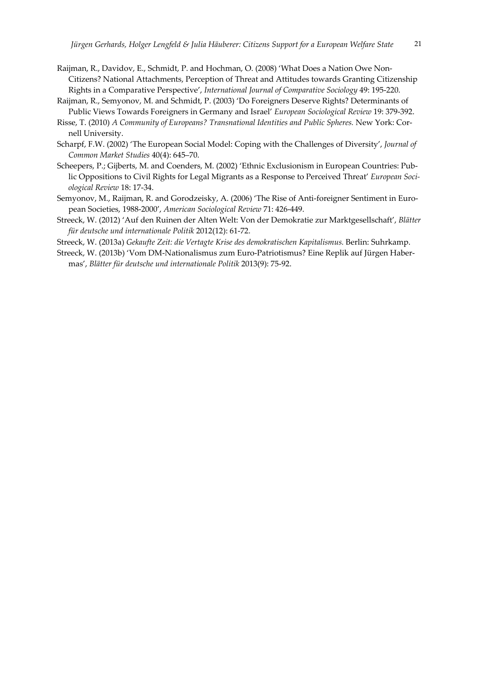- Raijman, R., Davidov, E., Schmidt, P. and Hochman, O. (2008) 'What Does a Nation Owe Non‐ Citizens? National Attachments, Perception of Threat and Attitudes towards Granting Citizenship Rights in a Comparative Perspective', *International Journal of Comparative Sociology* 49: 195‐220.
- Raijman, R., Semyonov, M. and Schmidt, P. (2003) 'Do Foreigners Deserve Rights? Determinants of Public Views Towards Foreigners in Germany and Israel' *European Sociological Review* 19: 379‐392.
- Risse, T. (2010) *A Community of Europeans? Transnational Identities and Public Spheres.* New York: Cor‐ nell University.
- Scharpf, F.W. (2002) 'The European Social Model: Coping with the Challenges of Diversity', *Journal of Common Market Studies* 40(4): 645–70.
- Scheepers, P.; Gijberts, M. and Coenders, M. (2002) 'Ethnic Exclusionism in European Countries: Pub‐ lic Oppositions to Civil Rights for Legal Migrants as a Response to Perceived Threat' *European Soci‐ ological Review* 18: 17‐34.
- Semyonov, M., Raijman, R. and Gorodzeisky, A. (2006) 'The Rise of Anti-foreigner Sentiment in European Societies, 1988‐2000', *American Sociological Review* 71: 426‐449.
- Streeck, W. (2012) 'Auf den Ruinen der Alten Welt: Von der Demokratie zur Marktgesellschaft', *Blätter für deutsche und internationale Politik* 2012(12): 61‐72.

Streeck, W. (2013a) *Gekaufte Zeit: die Vertagte Krise des demokratischen Kapitalismus.* Berlin: Suhrkamp.

Streeck, W. (2013b) 'Vom DM‐Nationalismus zum Euro‐Patriotismus? Eine Replik auf Jürgen Haber‐ mas', *Blätter für deutsche und internationale Politik* 2013(9): 75‐92.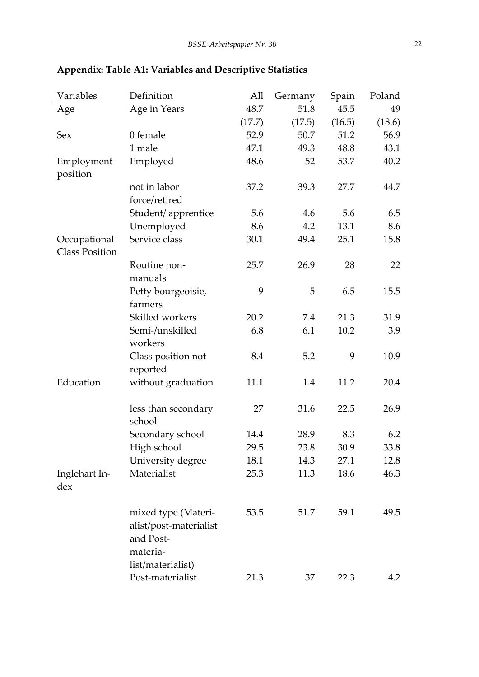| Variables             | Definition             | All    | Germany | Spain  | Poland |
|-----------------------|------------------------|--------|---------|--------|--------|
| Age                   | Age in Years           | 48.7   | 51.8    | 45.5   | 49     |
|                       |                        | (17.7) | (17.5)  | (16.5) | (18.6) |
| Sex                   | 0 female               | 52.9   | 50.7    | 51.2   | 56.9   |
|                       | 1 male                 | 47.1   | 49.3    | 48.8   | 43.1   |
| Employment            | Employed               | 48.6   | 52      | 53.7   | 40.2   |
| position              |                        |        |         |        |        |
|                       | not in labor           | 37.2   | 39.3    | 27.7   | 44.7   |
|                       | force/retired          |        |         |        |        |
|                       | Student/ apprentice    | 5.6    | 4.6     | 5.6    | 6.5    |
|                       | Unemployed             | 8.6    | 4.2     | 13.1   | 8.6    |
| Occupational          | Service class          | 30.1   | 49.4    | 25.1   | 15.8   |
| <b>Class Position</b> |                        |        |         |        |        |
|                       | Routine non-           | 25.7   | 26.9    | 28     | 22     |
|                       | manuals                |        |         |        |        |
|                       | Petty bourgeoisie,     | 9      | 5       | 6.5    | 15.5   |
|                       | farmers                |        |         |        |        |
|                       | Skilled workers        | 20.2   | 7.4     | 21.3   | 31.9   |
|                       | Semi-/unskilled        | 6.8    | 6.1     | 10.2   | 3.9    |
|                       | workers                |        |         |        |        |
|                       | Class position not     | 8.4    | 5.2     | 9      | 10.9   |
|                       | reported               |        |         |        |        |
| Education             | without graduation     | 11.1   | 1.4     | 11.2   | 20.4   |
|                       |                        |        |         |        |        |
|                       | less than secondary    | 27     | 31.6    | 22.5   | 26.9   |
|                       | school                 |        |         |        |        |
|                       | Secondary school       | 14.4   | 28.9    | 8.3    | 6.2    |
|                       | High school            | 29.5   | 23.8    | 30.9   | 33.8   |
|                       | University degree      | 18.1   | 14.3    | 27.1   | 12.8   |
| Inglehart In-         | Materialist            | 25.3   | 11.3    | 18.6   | 46.3   |
| dex                   |                        |        |         |        |        |
|                       |                        |        |         |        |        |
|                       | mixed type (Materi-    | 53.5   | 51.7    | 59.1   | 49.5   |
|                       | alist/post-materialist |        |         |        |        |
|                       | and Post-              |        |         |        |        |
|                       | materia-               |        |         |        |        |
|                       | list/materialist)      |        |         |        |        |
|                       | Post-materialist       | 21.3   | 37      | 22.3   | 4.2    |
|                       |                        |        |         |        |        |

# **Appendix: Table A1: Variables and Descriptive Statistics**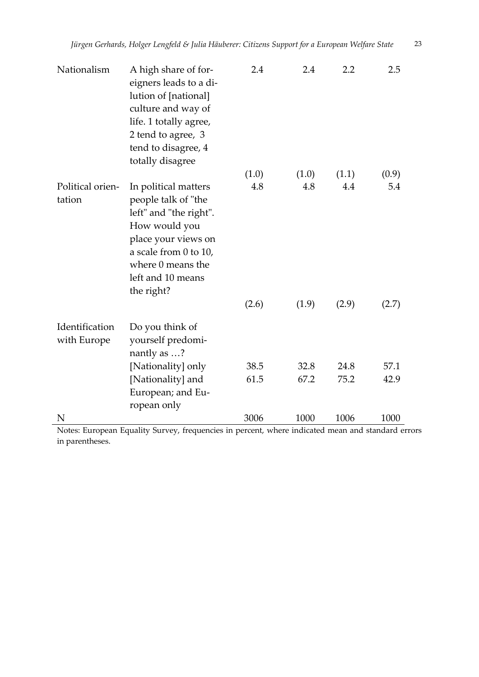| Nationalism                   | A high share of for-<br>eigners leads to a di-<br>lution of [national]<br>culture and way of<br>life. 1 totally agree,<br>2 tend to agree, 3<br>tend to disagree, 4<br>totally disagree        | 2.4   | 2.4   | 2.2   | 2.5   |
|-------------------------------|------------------------------------------------------------------------------------------------------------------------------------------------------------------------------------------------|-------|-------|-------|-------|
|                               |                                                                                                                                                                                                | (1.0) | (1.0) | (1.1) | (0.9) |
| Political orien-<br>tation    | In political matters<br>people talk of "the<br>left" and "the right".<br>How would you<br>place your views on<br>a scale from 0 to 10,<br>where 0 means the<br>left and 10 means<br>the right? | 4.8   | 4.8   | 4.4   | 5.4   |
|                               |                                                                                                                                                                                                | (2.6) | (1.9) | (2.9) | (2.7) |
| Identification<br>with Europe | Do you think of<br>yourself predomi-<br>nantly as ?                                                                                                                                            |       |       |       |       |
|                               | [Nationality] only                                                                                                                                                                             | 38.5  | 32.8  | 24.8  | 57.1  |
|                               | [Nationality] and<br>European; and Eu-<br>ropean only                                                                                                                                          | 61.5  | 67.2  | 75.2  | 42.9  |
| N                             |                                                                                                                                                                                                | 3006  | 1000  | 1006  | 1000  |

Notes: European Equality Survey, frequencies in percent, where indicated mean and standard errors in parentheses.